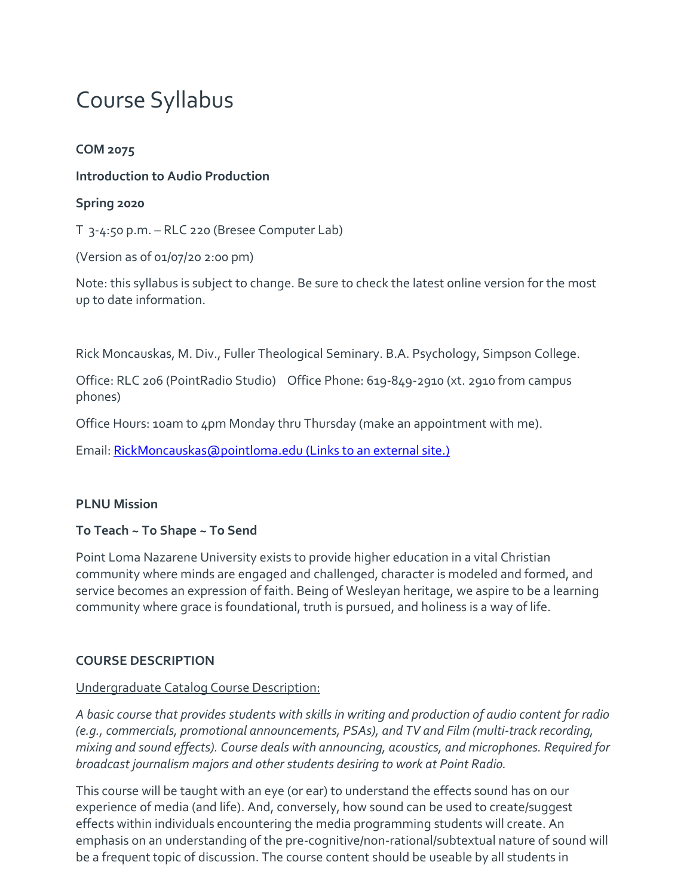# Course Syllabus

#### **COM 2075**

**Introduction to Audio Production**

#### **Spring 2020**

T 3-4:50 p.m. – RLC 220 (Bresee Computer Lab)

(Version as of 01/07/20 2:00 pm)

Note: this syllabus is subject to change. Be sure to check the latest online version for the most up to date information.

Rick Moncauskas, M. Div., Fuller Theological Seminary. B.A. Psychology, Simpson College.

Office: RLC 206 (PointRadio Studio) Office Phone: 619-849-2910 (xt. 2910 from campus phones)

Office Hours: 10am to 4pm Monday thru Thursday (make an appointment with me).

Email: [RickMoncauskas@pointloma.edu](https://mail.google.com/mail/?view=cm&fs=1&tf=1&to=RickMoncauskas@pointloma.edu) (Links to an external site.)

#### **PLNU Mission**

#### **To Teach ~ To Shape ~ To Send**

Point Loma Nazarene University exists to provide higher education in a vital Christian community where minds are engaged and challenged, character is modeled and formed, and service becomes an expression of faith. Being of Wesleyan heritage, we aspire to be a learning community where grace is foundational, truth is pursued, and holiness is a way of life.

#### **COURSE DESCRIPTION**

#### Undergraduate Catalog Course Description:

*A basic course that provides students with skills in writing and production of audio content for radio (e.g., commercials, promotional announcements, PSAs), and TV and Film (multi-track recording, mixing and sound effects). Course deals with announcing, acoustics, and microphones. Required for broadcast journalism majors and other students desiring to work at Point Radio.*

This course will be taught with an eye (or ear) to understand the effects sound has on our experience of media (and life). And, conversely, how sound can be used to create/suggest effects within individuals encountering the media programming students will create. An emphasis on an understanding of the pre-cognitive/non-rational/subtextual nature of sound will be a frequent topic of discussion. The course content should be useable by all students in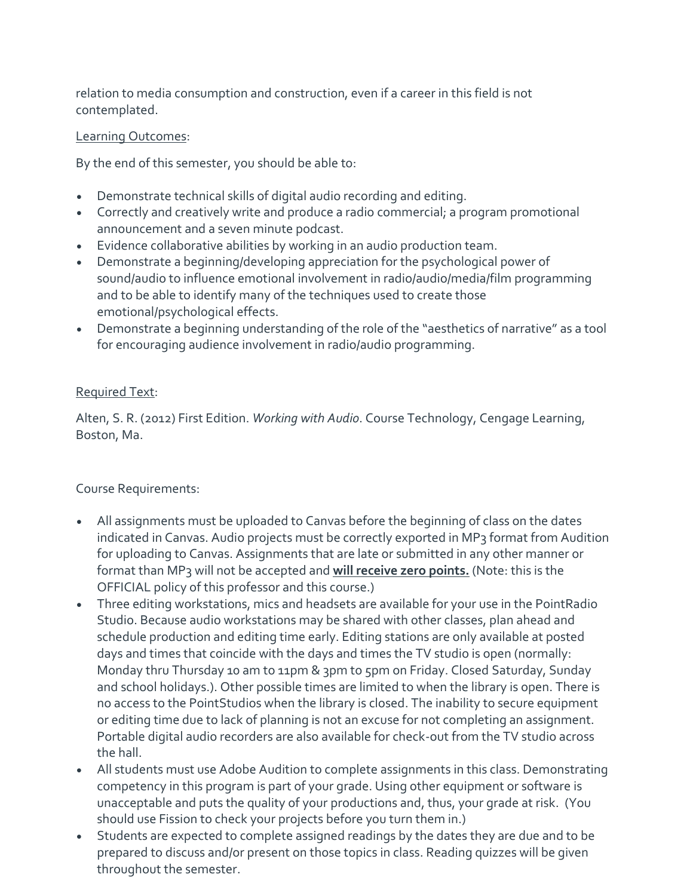relation to media consumption and construction, even if a career in this field is not contemplated.

#### Learning Outcomes:

By the end of this semester, you should be able to:

- Demonstrate technical skills of digital audio recording and editing.
- Correctly and creatively write and produce a radio commercial; a program promotional announcement and a seven minute podcast.
- Evidence collaborative abilities by working in an audio production team.
- Demonstrate a beginning/developing appreciation for the psychological power of sound/audio to influence emotional involvement in radio/audio/media/film programming and to be able to identify many of the techniques used to create those emotional/psychological effects.
- Demonstrate a beginning understanding of the role of the "aesthetics of narrative" as a tool for encouraging audience involvement in radio/audio programming.

#### Required Text:

Alten, S. R. (2012) First Edition. *Working with Audio*. Course Technology, Cengage Learning, Boston, Ma.

#### Course Requirements:

- All assignments must be uploaded to Canvas before the beginning of class on the dates indicated in Canvas. Audio projects must be correctly exported in MP3 format from Audition for uploading to Canvas. Assignments that are late or submitted in any other manner or format than MP3 will not be accepted and **will receive zero points.** (Note: this is the OFFICIAL policy of this professor and this course.)
- Three editing workstations, mics and headsets are available for your use in the PointRadio Studio. Because audio workstations may be shared with other classes, plan ahead and schedule production and editing time early. Editing stations are only available at posted days and times that coincide with the days and times the TV studio is open (normally: Monday thru Thursday 10 am to 11pm & 3pm to 5pm on Friday. Closed Saturday, Sunday and school holidays.). Other possible times are limited to when the library is open. There is no access to the PointStudios when the library is closed. The inability to secure equipment or editing time due to lack of planning is not an excuse for not completing an assignment. Portable digital audio recorders are also available for check-out from the TV studio across the hall.
- All students must use Adobe Audition to complete assignments in this class. Demonstrating competency in this program is part of your grade. Using other equipment or software is unacceptable and puts the quality of your productions and, thus, your grade at risk. (You should use Fission to check your projects before you turn them in.)
- Students are expected to complete assigned readings by the dates they are due and to be prepared to discuss and/or present on those topics in class. Reading quizzes will be given throughout the semester.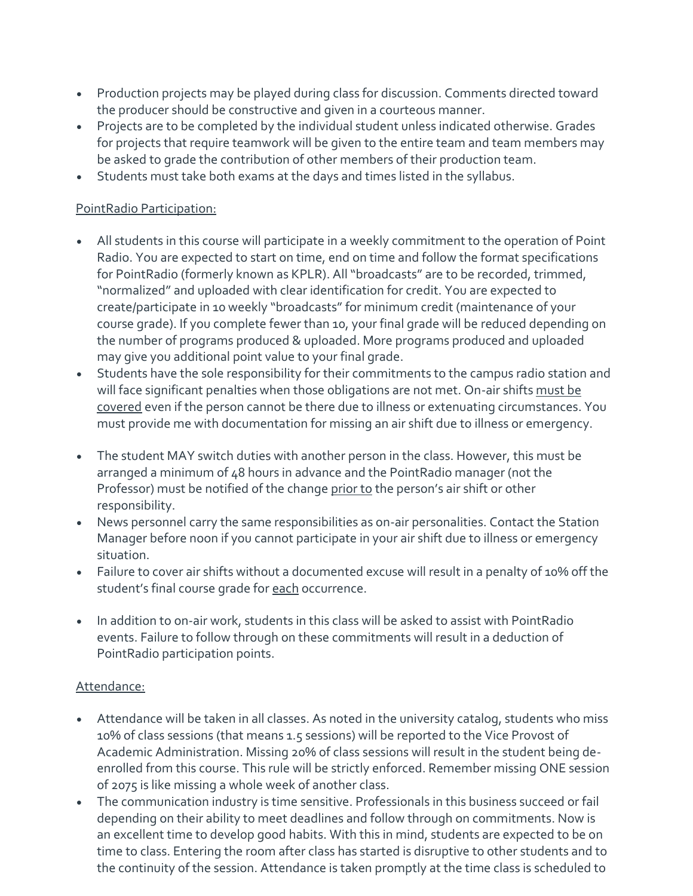- Production projects may be played during class for discussion. Comments directed toward the producer should be constructive and given in a courteous manner.
- Projects are to be completed by the individual student unless indicated otherwise. Grades for projects that require teamwork will be given to the entire team and team members may be asked to grade the contribution of other members of their production team.
- Students must take both exams at the days and times listed in the syllabus.

#### PointRadio Participation:

- All students in this course will participate in a weekly commitment to the operation of Point Radio. You are expected to start on time, end on time and follow the format specifications for PointRadio (formerly known as KPLR). All "broadcasts" are to be recorded, trimmed, "normalized" and uploaded with clear identification for credit. You are expected to create/participate in 10 weekly "broadcasts" for minimum credit (maintenance of your course grade). If you complete fewer than 10, your final grade will be reduced depending on the number of programs produced & uploaded. More programs produced and uploaded may give you additional point value to your final grade.
- Students have the sole responsibility for their commitments to the campus radio station and will face significant penalties when those obligations are not met. On-air shifts must be covered even if the person cannot be there due to illness or extenuating circumstances. You must provide me with documentation for missing an air shift due to illness or emergency.
- The student MAY switch duties with another person in the class. However, this must be arranged a minimum of 48 hours in advance and the PointRadio manager (not the Professor) must be notified of the change prior to the person's air shift or other responsibility.
- News personnel carry the same responsibilities as on-air personalities. Contact the Station Manager before noon if you cannot participate in your air shift due to illness or emergency situation.
- Failure to cover air shifts without a documented excuse will result in a penalty of 10% off the student's final course grade for each occurrence.
- In addition to on-air work, students in this class will be asked to assist with PointRadio events. Failure to follow through on these commitments will result in a deduction of PointRadio participation points.

#### Attendance:

- Attendance will be taken in all classes. As noted in the university catalog, students who miss 10% of class sessions (that means 1.5 sessions) will be reported to the Vice Provost of Academic Administration. Missing 20% of class sessions will result in the student being deenrolled from this course. This rule will be strictly enforced. Remember missing ONE session of 2075 is like missing a whole week of another class.
- The communication industry is time sensitive. Professionals in this business succeed or fail depending on their ability to meet deadlines and follow through on commitments. Now is an excellent time to develop good habits. With this in mind, students are expected to be on time to class. Entering the room after class has started is disruptive to other students and to the continuity of the session. Attendance is taken promptly at the time class is scheduled to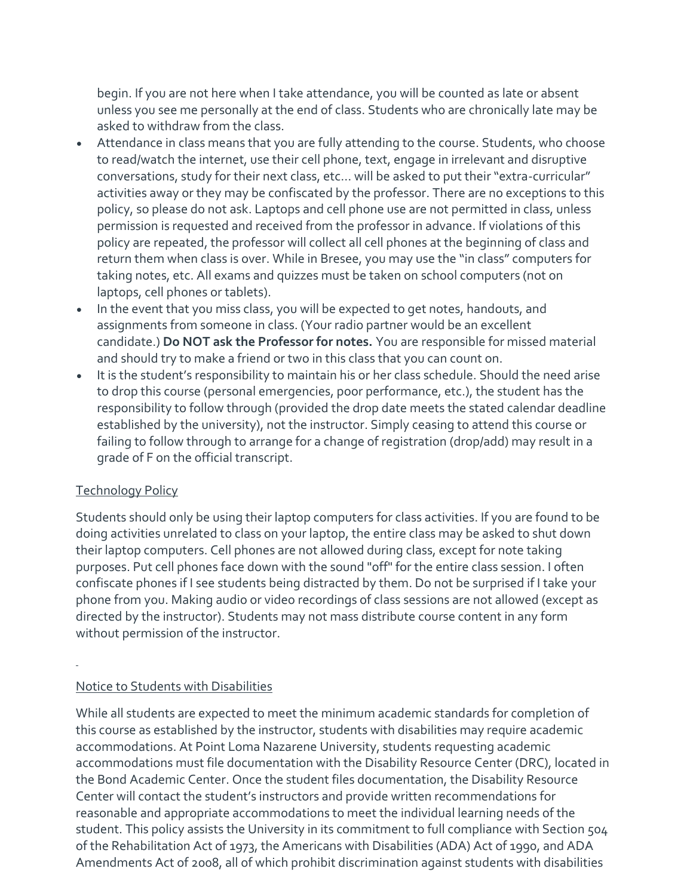begin. If you are not here when I take attendance, you will be counted as late or absent unless you see me personally at the end of class. Students who are chronically late may be asked to withdraw from the class.

- Attendance in class means that you are fully attending to the course. Students, who choose to read/watch the internet, use their cell phone, text, engage in irrelevant and disruptive conversations, study for their next class, etc… will be asked to put their "extra-curricular" activities away or they may be confiscated by the professor. There are no exceptions to this policy, so please do not ask. Laptops and cell phone use are not permitted in class, unless permission is requested and received from the professor in advance. If violations of this policy are repeated, the professor will collect all cell phones at the beginning of class and return them when class is over. While in Bresee, you may use the "in class" computers for taking notes, etc. All exams and quizzes must be taken on school computers (not on laptops, cell phones or tablets).
- In the event that you miss class, you will be expected to get notes, handouts, and assignments from someone in class. (Your radio partner would be an excellent candidate.) **Do NOT ask the Professor for notes.** You are responsible for missed material and should try to make a friend or two in this class that you can count on.
- It is the student's responsibility to maintain his or her class schedule. Should the need arise to drop this course (personal emergencies, poor performance, etc.), the student has the responsibility to follow through (provided the drop date meets the stated calendar deadline established by the university), not the instructor. Simply ceasing to attend this course or failing to follow through to arrange for a change of registration (drop/add) may result in a grade of F on the official transcript.

#### Technology Policy

Students should only be using their laptop computers for class activities. If you are found to be doing activities unrelated to class on your laptop, the entire class may be asked to shut down their laptop computers. Cell phones are not allowed during class, except for note taking purposes. Put cell phones face down with the sound "off" for the entire class session. I often confiscate phones if I see students being distracted by them. Do not be surprised if I take your phone from you. Making audio or video recordings of class sessions are not allowed (except as directed by the instructor). Students may not mass distribute course content in any form without permission of the instructor.

#### Notice to Students with Disabilities

While all students are expected to meet the minimum academic standards for completion of this course as established by the instructor, students with disabilities may require academic accommodations. At Point Loma Nazarene University, students requesting academic accommodations must file documentation with the Disability Resource Center (DRC), located in the Bond Academic Center. Once the student files documentation, the Disability Resource Center will contact the student's instructors and provide written recommendations for reasonable and appropriate accommodations to meet the individual learning needs of the student. This policy assists the University in its commitment to full compliance with Section 504 of the Rehabilitation Act of 1973, the Americans with Disabilities (ADA) Act of 1990, and ADA Amendments Act of 2008, all of which prohibit discrimination against students with disabilities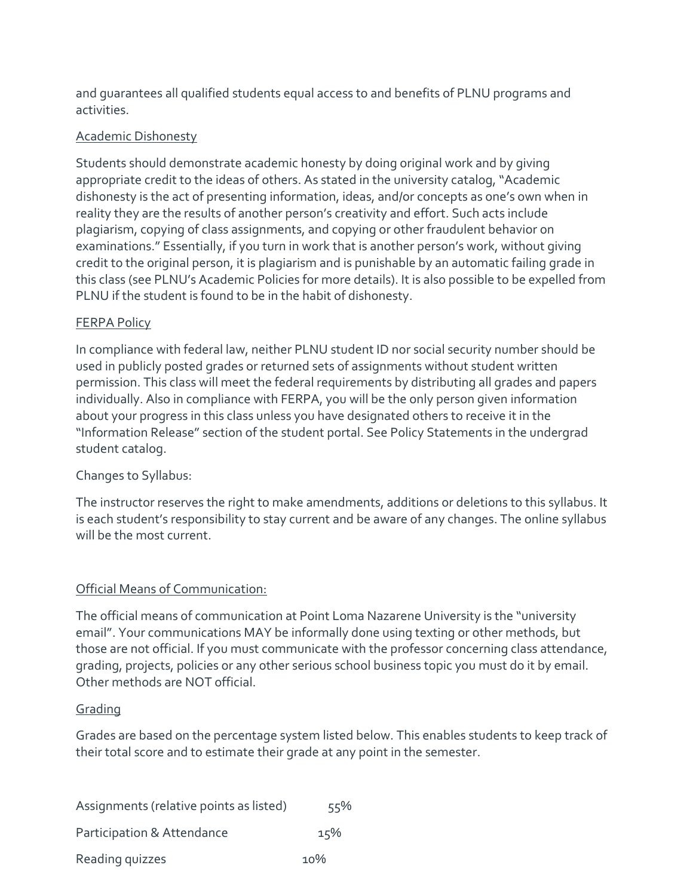and guarantees all qualified students equal access to and benefits of PLNU programs and activities.

#### Academic Dishonesty

Students should demonstrate academic honesty by doing original work and by giving appropriate credit to the ideas of others. As stated in the university catalog, "Academic dishonesty is the act of presenting information, ideas, and/or concepts as one's own when in reality they are the results of another person's creativity and effort. Such acts include plagiarism, copying of class assignments, and copying or other fraudulent behavior on examinations." Essentially, if you turn in work that is another person's work, without giving credit to the original person, it is plagiarism and is punishable by an automatic failing grade in this class (see PLNU's Academic Policies for more details). It is also possible to be expelled from PLNU if the student is found to be in the habit of dishonesty.

#### FERPA Policy

In compliance with federal law, neither PLNU student ID nor social security number should be used in publicly posted grades or returned sets of assignments without student written permission. This class will meet the federal requirements by distributing all grades and papers individually. Also in compliance with FERPA, you will be the only person given information about your progress in this class unless you have designated others to receive it in the "Information Release" section of the student portal. See Policy Statements in the undergrad student catalog.

#### Changes to Syllabus:

The instructor reserves the right to make amendments, additions or deletions to this syllabus. It is each student's responsibility to stay current and be aware of any changes. The online syllabus will be the most current.

#### Official Means of Communication:

The official means of communication at Point Loma Nazarene University is the "university email". Your communications MAY be informally done using texting or other methods, but those are not official. If you must communicate with the professor concerning class attendance, grading, projects, policies or any other serious school business topic you must do it by email. Other methods are NOT official.

#### **Grading**

Grades are based on the percentage system listed below. This enables students to keep track of their total score and to estimate their grade at any point in the semester.

| Assignments (relative points as listed) | 55% |
|-----------------------------------------|-----|
| Participation & Attendance              | 15% |
| Reading quizzes                         | 10% |